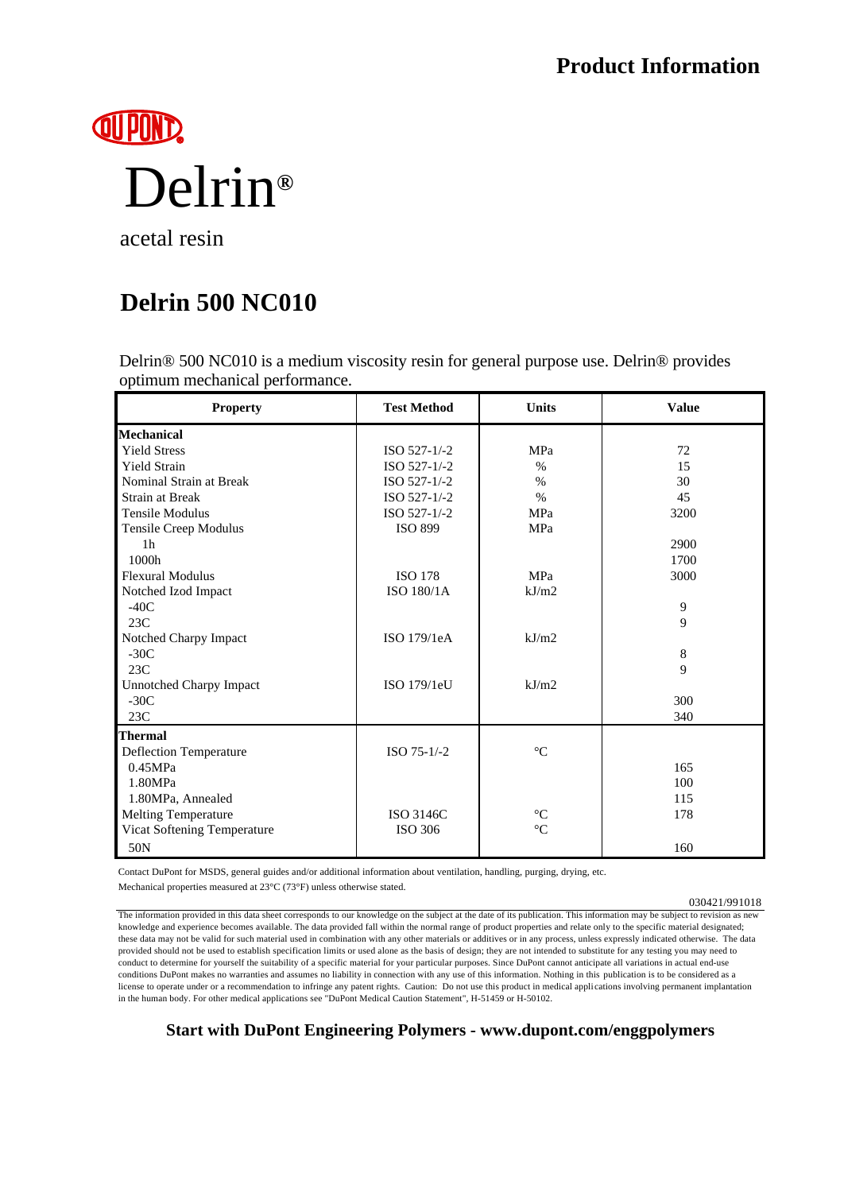

acetal resin

## **Delrin 500 NC010**

Delrin® 500 NC010 is a medium viscosity resin for general purpose use. Delrin® provides optimum mechanical performance.

| <b>Property</b>                | <b>Test Method</b> | <b>Units</b>    | <b>Value</b> |
|--------------------------------|--------------------|-----------------|--------------|
| <b>Mechanical</b>              |                    |                 |              |
| <b>Yield Stress</b>            | ISO 527-1/-2       | MPa             | 72           |
| <b>Yield Strain</b>            | ISO 527-1/-2       | $\%$            | 15           |
| Nominal Strain at Break        | ISO 527-1/-2       | $\%$            | 30           |
| <b>Strain at Break</b>         | ISO 527-1/-2       | $\%$            | 45           |
| <b>Tensile Modulus</b>         | ISO 527-1/-2       | <b>MPa</b>      | 3200         |
| Tensile Creep Modulus          | <b>ISO 899</b>     | MPa             |              |
| 1 <sub>h</sub>                 |                    |                 | 2900         |
| 1000h                          |                    |                 | 1700         |
| <b>Flexural Modulus</b>        | <b>ISO 178</b>     | MPa             | 3000         |
| Notched Izod Impact            | ISO 180/1A         | kJ/m2           |              |
| $-40C$                         |                    |                 | 9            |
| 23C                            |                    |                 | 9            |
| Notched Charpy Impact          | ISO 179/1eA        | kJ/m2           |              |
| $-30C$                         |                    |                 | 8            |
| 23C                            |                    |                 | 9            |
| <b>Unnotched Charpy Impact</b> | ISO 179/1eU        | kJ/m2           |              |
| $-30C$                         |                    |                 | 300          |
| 23C                            |                    |                 | 340          |
| <b>Thermal</b>                 |                    |                 |              |
| Deflection Temperature         | ISO 75-1/-2        | $^{\circ}C$     |              |
| 0.45MPa                        |                    |                 | 165          |
| 1.80MPa                        |                    |                 | 100          |
| 1.80MPa, Annealed              |                    |                 | 115          |
| <b>Melting Temperature</b>     | <b>ISO 3146C</b>   | $^{\circ}C$     | 178          |
| Vicat Softening Temperature    | ISO 306            | $\rm ^{\circ}C$ |              |
| 50N                            |                    |                 | 160          |

Contact DuPont for MSDS, general guides and/or additional information about ventilation, handling, purging, drying, etc. Mechanical properties measured at 23°C (73°F) unless otherwise stated.

030421/991018

The information provided in this data sheet corresponds to our knowledge on the subject at the date of its publication. This information may be subject to revision as new knowledge and experience becomes available. The data provided fall within the normal range of product properties and relate only to the specific material designated; these data may not be valid for such material used in combination with any other materials or additives or in any process, unless expressly indicated otherwise. The data provided should not be used to establish specification limits or used alone as the basis of design; they are not intended to substitute for any testing you may need to conduct to determine for yourself the suitability of a specific material for your particular purposes. Since DuPont cannot anticipate all variations in actual end-use conditions DuPont makes no warranties and assumes no liability in connection with any use of this information. Nothing in this publication is to be considered as a license to operate under or a recommendation to infringe any patent rights. Caution: Do not use this product in medical applications involving permanent implantation in the human body. For other medical applications see "DuPont Medical Caution Statement", H-51459 or H-50102.

**Start with DuPont Engineering Polymers - www.dupont.com/enggpolymers**